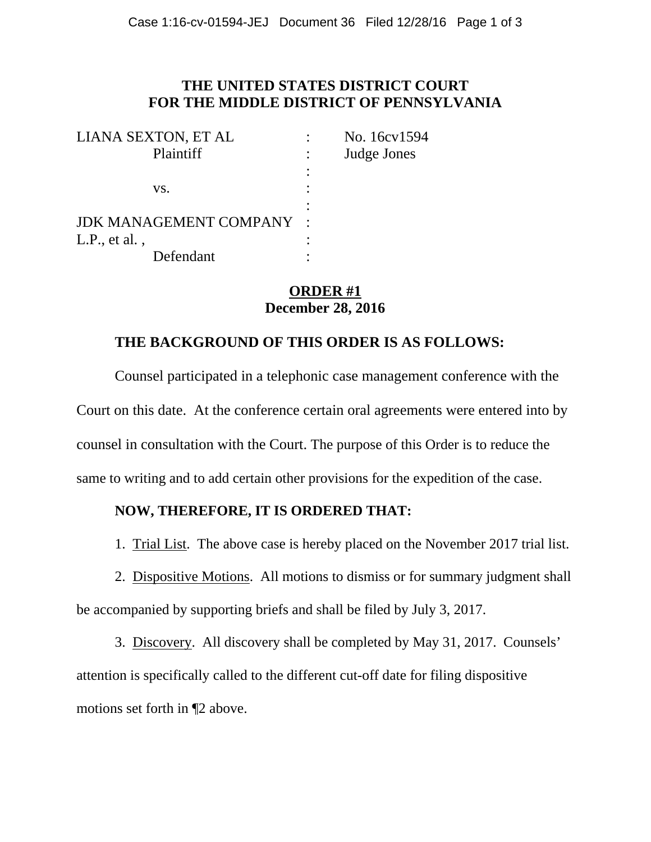## **THE UNITED STATES DISTRICT COURT FOR THE MIDDLE DISTRICT OF PENNSYLVANIA**

| LIANA SEXTON, ET AL             | No. 16cv1594 |
|---------------------------------|--------------|
| Plaintiff                       | Judge Jones  |
|                                 |              |
| VS.                             |              |
|                                 |              |
| <b>JDK MANAGEMENT COMPANY :</b> |              |
| L.P., et al.                    |              |
| Defendant                       |              |

## **ORDER #1 December 28, 2016**

## **THE BACKGROUND OF THIS ORDER IS AS FOLLOWS:**

 Counsel participated in a telephonic case management conference with the Court on this date. At the conference certain oral agreements were entered into by counsel in consultation with the Court. The purpose of this Order is to reduce the same to writing and to add certain other provisions for the expedition of the case.

## **NOW, THEREFORE, IT IS ORDERED THAT:**

1. Trial List. The above case is hereby placed on the November 2017 trial list.

 2. Dispositive Motions. All motions to dismiss or for summary judgment shall be accompanied by supporting briefs and shall be filed by July 3, 2017.

3. Discovery. All discovery shall be completed by May 31, 2017. Counsels' attention is specifically called to the different cut-off date for filing dispositive motions set forth in ¶2 above.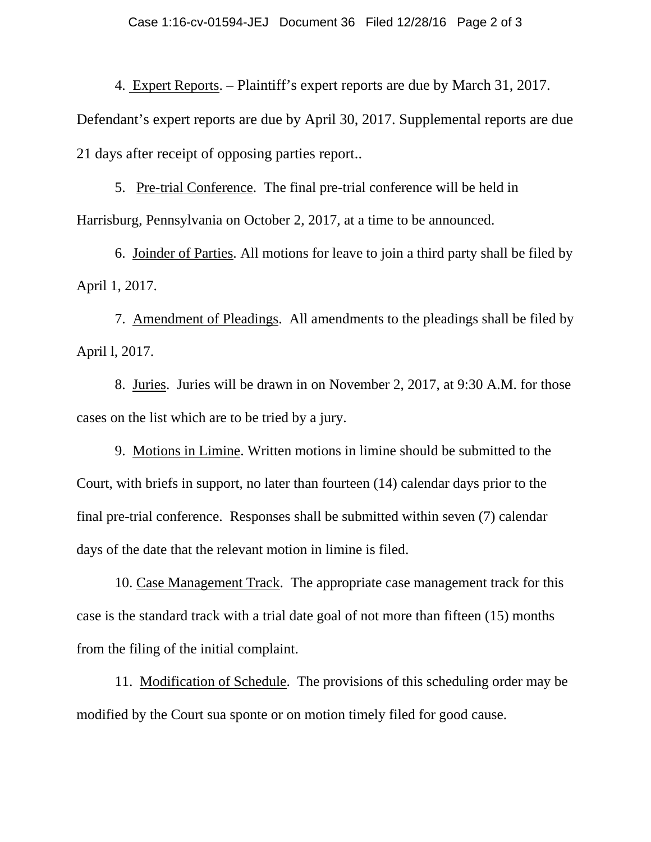4. Expert Reports. – Plaintiff's expert reports are due by March 31, 2017.

Defendant's expert reports are due by April 30, 2017. Supplemental reports are due 21 days after receipt of opposing parties report..

 5. Pre-trial Conference. The final pre-trial conference will be held in Harrisburg, Pennsylvania on October 2, 2017, at a time to be announced.

 6. Joinder of Parties. All motions for leave to join a third party shall be filed by April 1, 2017.

 7. Amendment of Pleadings. All amendments to the pleadings shall be filed by April l, 2017.

 8. Juries. Juries will be drawn in on November 2, 2017, at 9:30 A.M. for those cases on the list which are to be tried by a jury.

 9. Motions in Limine. Written motions in limine should be submitted to the Court, with briefs in support, no later than fourteen (14) calendar days prior to the final pre-trial conference. Responses shall be submitted within seven (7) calendar days of the date that the relevant motion in limine is filed.

 10. Case Management Track. The appropriate case management track for this case is the standard track with a trial date goal of not more than fifteen (15) months from the filing of the initial complaint.

 11. Modification of Schedule. The provisions of this scheduling order may be modified by the Court sua sponte or on motion timely filed for good cause.